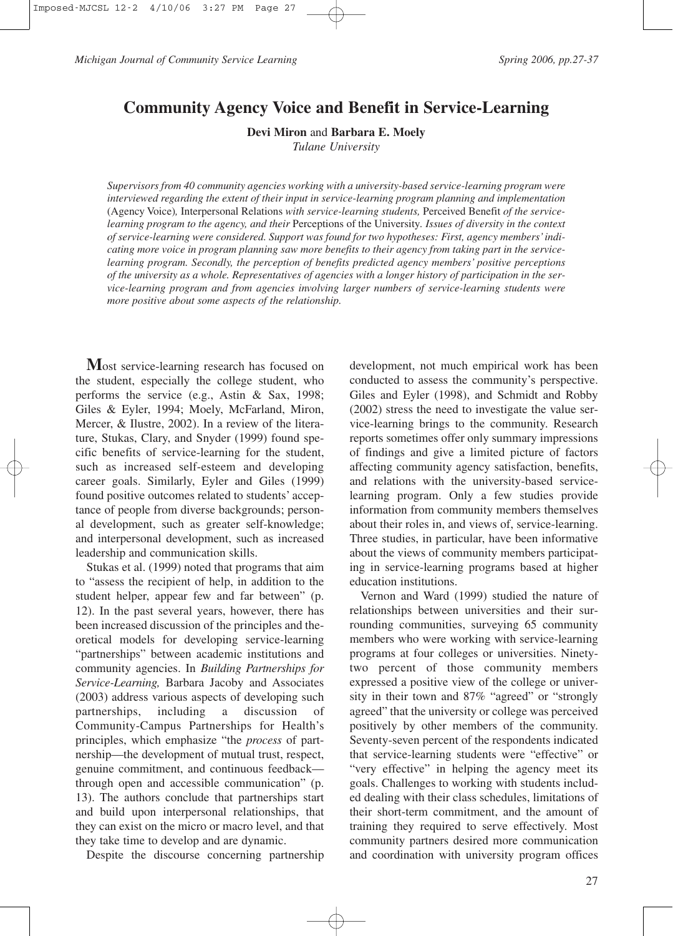*Michigan Journal of Community Service Learning* Spring 2006, pp.27-37

# **Community Agency Voice and Benefit in Service-Learning**

**Devi Miron** and **Barbara E. Moely** 

*Tulane University* 

*Supervisors from 40 community agencies working with a university-based service-learning program were interviewed regarding the extent of their input in service-learning program planning and implementation* (Agency Voice)*,* Interpersonal Relations *with service-learning students,* Perceived Benefit *of the servicelearning program to the agency, and their* Perceptions of the University*. Issues of diversity in the context of service-learning were considered. Support was found for two hypotheses: First, agency members'indicating more voice in program planning saw more benefits to their agency from taking part in the servicelearning program. Secondly, the perception of benefits predicted agency members' positive perceptions of the university as a whole. Representatives of agencies with a longer history of participation in the service-learning program and from agencies involving larger numbers of service-learning students were more positive about some aspects of the relationship.* 

**M**ost service-learning research has focused on the student, especially the college student, who performs the service (e.g., Astin & Sax, 1998; Giles & Eyler, 1994; Moely, McFarland, Miron, Mercer, & Ilustre, 2002). In a review of the literature, Stukas, Clary, and Snyder (1999) found specific benefits of service-learning for the student, such as increased self-esteem and developing career goals. Similarly, Eyler and Giles (1999) found positive outcomes related to students' acceptance of people from diverse backgrounds; personal development, such as greater self-knowledge; and interpersonal development, such as increased leadership and communication skills.

Stukas et al. (1999) noted that programs that aim to "assess the recipient of help, in addition to the student helper, appear few and far between" (p. 12). In the past several years, however, there has been increased discussion of the principles and theoretical models for developing service-learning "partnerships" between academic institutions and community agencies. In *Building Partnerships for Service-Learning,* Barbara Jacoby and Associates (2003) address various aspects of developing such partnerships, including a discussion of Community-Campus Partnerships for Health's principles, which emphasize "the *process* of partnership—the development of mutual trust, respect, genuine commitment, and continuous feedback through open and accessible communication" (p. 13). The authors conclude that partnerships start and build upon interpersonal relationships, that they can exist on the micro or macro level, and that they take time to develop and are dynamic.

Despite the discourse concerning partnership

development, not much empirical work has been conducted to assess the community's perspective. Giles and Eyler (1998), and Schmidt and Robby (2002) stress the need to investigate the value service-learning brings to the community. Research reports sometimes offer only summary impressions of findings and give a limited picture of factors affecting community agency satisfaction, benefits, and relations with the university-based servicelearning program. Only a few studies provide information from community members themselves about their roles in, and views of, service-learning. Three studies, in particular, have been informative about the views of community members participating in service-learning programs based at higher education institutions.

Vernon and Ward (1999) studied the nature of relationships between universities and their surrounding communities, surveying 65 community members who were working with service-learning programs at four colleges or universities. Ninetytwo percent of those community members expressed a positive view of the college or university in their town and 87% "agreed" or "strongly agreed" that the university or college was perceived positively by other members of the community. Seventy-seven percent of the respondents indicated that service-learning students were "effective" or "very effective" in helping the agency meet its goals. Challenges to working with students included dealing with their class schedules, limitations of their short-term commitment, and the amount of training they required to serve effectively. Most community partners desired more communication and coordination with university program offices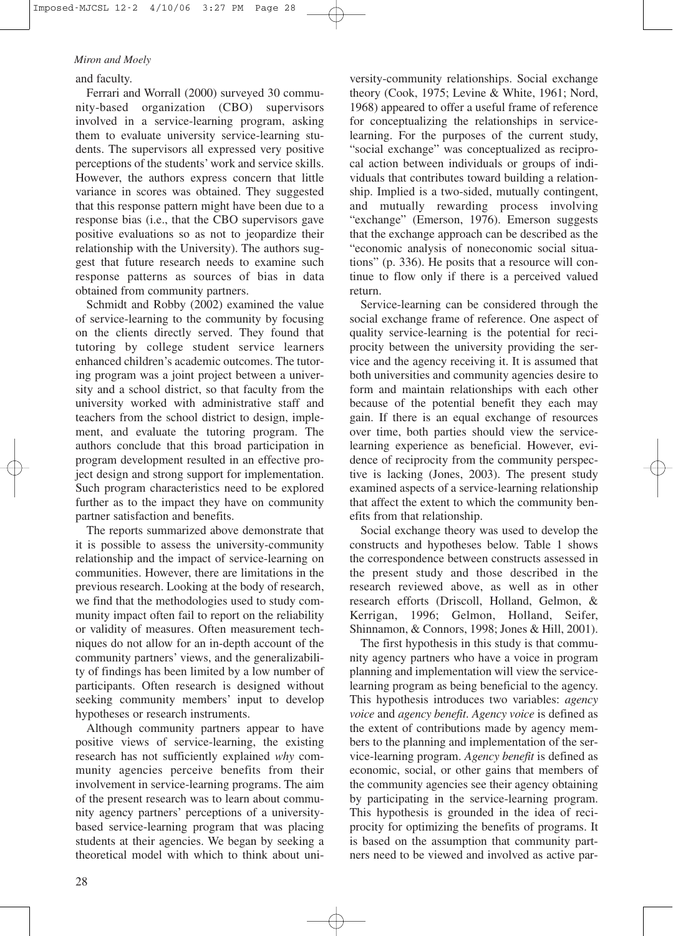and faculty.

Ferrari and Worrall (2000) surveyed 30 community-based organization (CBO) supervisors involved in a service-learning program, asking them to evaluate university service-learning students. The supervisors all expressed very positive perceptions of the students' work and service skills. However, the authors express concern that little variance in scores was obtained. They suggested that this response pattern might have been due to a response bias (i.e., that the CBO supervisors gave positive evaluations so as not to jeopardize their relationship with the University). The authors suggest that future research needs to examine such response patterns as sources of bias in data obtained from community partners.

Schmidt and Robby (2002) examined the value of service-learning to the community by focusing on the clients directly served. They found that tutoring by college student service learners enhanced children's academic outcomes. The tutoring program was a joint project between a university and a school district, so that faculty from the university worked with administrative staff and teachers from the school district to design, implement, and evaluate the tutoring program. The authors conclude that this broad participation in program development resulted in an effective project design and strong support for implementation. Such program characteristics need to be explored further as to the impact they have on community partner satisfaction and benefits.

The reports summarized above demonstrate that it is possible to assess the university-community relationship and the impact of service-learning on communities. However, there are limitations in the previous research. Looking at the body of research, we find that the methodologies used to study community impact often fail to report on the reliability or validity of measures. Often measurement techniques do not allow for an in-depth account of the community partners' views, and the generalizability of findings has been limited by a low number of participants. Often research is designed without seeking community members' input to develop hypotheses or research instruments.

Although community partners appear to have positive views of service-learning, the existing research has not sufficiently explained *why* community agencies perceive benefits from their involvement in service-learning programs. The aim of the present research was to learn about community agency partners' perceptions of a universitybased service-learning program that was placing students at their agencies. We began by seeking a theoretical model with which to think about university-community relationships. Social exchange theory (Cook, 1975; Levine & White, 1961; Nord, 1968) appeared to offer a useful frame of reference for conceptualizing the relationships in servicelearning. For the purposes of the current study, "social exchange" was conceptualized as reciprocal action between individuals or groups of individuals that contributes toward building a relationship. Implied is a two-sided, mutually contingent, and mutually rewarding process involving "exchange" (Emerson, 1976). Emerson suggests that the exchange approach can be described as the "economic analysis of noneconomic social situations" (p. 336). He posits that a resource will continue to flow only if there is a perceived valued return.

Service-learning can be considered through the social exchange frame of reference. One aspect of quality service-learning is the potential for reciprocity between the university providing the service and the agency receiving it. It is assumed that both universities and community agencies desire to form and maintain relationships with each other because of the potential benefit they each may gain. If there is an equal exchange of resources over time, both parties should view the servicelearning experience as beneficial. However, evidence of reciprocity from the community perspective is lacking (Jones, 2003). The present study examined aspects of a service-learning relationship that affect the extent to which the community benefits from that relationship.

Social exchange theory was used to develop the constructs and hypotheses below. Table 1 shows the correspondence between constructs assessed in the present study and those described in the research reviewed above, as well as in other research efforts (Driscoll, Holland, Gelmon, & Kerrigan, 1996; Gelmon, Holland, Seifer, Shinnamon, & Connors, 1998; Jones & Hill, 2001).

The first hypothesis in this study is that community agency partners who have a voice in program planning and implementation will view the servicelearning program as being beneficial to the agency. This hypothesis introduces two variables: *agency voice* and *agency benefit*. *Agency voice* is defined as the extent of contributions made by agency members to the planning and implementation of the service-learning program. *Agency benefit* is defined as economic, social, or other gains that members of the community agencies see their agency obtaining by participating in the service-learning program. This hypothesis is grounded in the idea of reciprocity for optimizing the benefits of programs. It is based on the assumption that community partners need to be viewed and involved as active par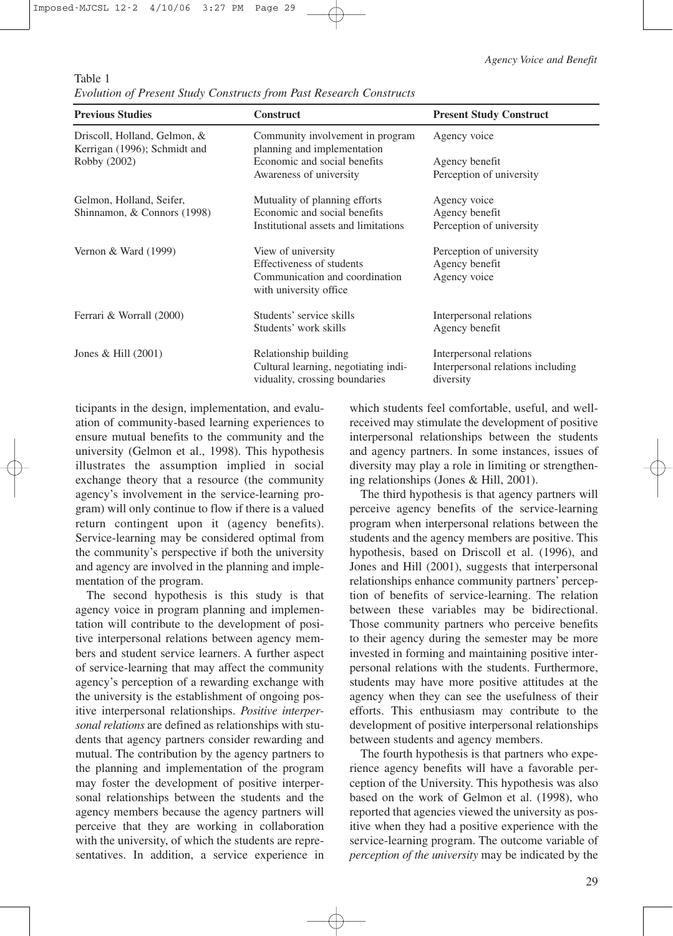Table 1

*Evolution of Present Study Constructs from Past Research Constructs* 

| <b>Previous Studies</b>                                      | <b>Construct</b>                                                                                | <b>Present Study Construct</b>                                            |  |
|--------------------------------------------------------------|-------------------------------------------------------------------------------------------------|---------------------------------------------------------------------------|--|
| Driscoll, Holland, Gelmon, &<br>Kerrigan (1996); Schmidt and | Community involvement in program<br>planning and implementation                                 | Agency voice                                                              |  |
| Robby (2002)                                                 | Economic and social benefits                                                                    | Agency benefit                                                            |  |
|                                                              | Awareness of university                                                                         | Perception of university                                                  |  |
| Gelmon, Holland, Seifer,                                     | Mutuality of planning efforts                                                                   | Agency voice                                                              |  |
| Shinnamon, & Connors (1998)                                  | Economic and social benefits                                                                    | Agency benefit                                                            |  |
|                                                              | Institutional assets and limitations                                                            | Perception of university                                                  |  |
| Vernon $& Ward(1999)$                                        | View of university<br>Effectiveness of students                                                 | Perception of university<br>Agency benefit                                |  |
|                                                              | Communication and coordination<br>with university office                                        | Agency voice                                                              |  |
| Ferrari & Worrall (2000)                                     | Students' service skills                                                                        | Interpersonal relations                                                   |  |
|                                                              | Students' work skills                                                                           | Agency benefit                                                            |  |
| Jones & Hill $(2001)$                                        | Relationship building<br>Cultural learning, negotiating indi-<br>viduality, crossing boundaries | Interpersonal relations<br>Interpersonal relations including<br>diversity |  |

ticipants in the design, implementation, and evaluation of community-based learning experiences to ensure mutual benefits to the community and the university (Gelmon et al., 1998). This hypothesis illustrates the assumption implied in social exchange theory that a resource (the community agency's involvement in the service-learning program) will only continue to flow if there is a valued return contingent upon it (agency benefits). Service-learning may be considered optimal from the community's perspective if both the university and agency are involved in the planning and implementation of the program.

The second hypothesis is this study is that agency voice in program planning and implementation will contribute to the development of positive interpersonal relations between agency members and student service learners. A further aspect of service-learning that may affect the community agency's perception of a rewarding exchange with the university is the establishment of ongoing positive interpersonal relationships. *Positive interpersonal relations* are defined as relationships with students that agency partners consider rewarding and mutual. The contribution by the agency partners to the planning and implementation of the program may foster the development of positive interpersonal relationships between the students and the agency members because the agency partners will perceive that they are working in collaboration with the university, of which the students are representatives. In addition, a service experience in which students feel comfortable, useful, and wellreceived may stimulate the development of positive interpersonal relationships between the students and agency partners. In some instances, issues of diversity may play a role in limiting or strengthening relationships (Jones & Hill, 2001).

The third hypothesis is that agency partners will perceive agency benefits of the service-learning program when interpersonal relations between the students and the agency members are positive. This hypothesis, based on Driscoll et al. (1996), and Jones and Hill (2001), suggests that interpersonal relationships enhance community partners' perception of benefits of service-learning. The relation between these variables may be bidirectional. Those community partners who perceive benefits to their agency during the semester may be more invested in forming and maintaining positive interpersonal relations with the students. Furthermore, students may have more positive attitudes at the agency when they can see the usefulness of their efforts. This enthusiasm may contribute to the development of positive interpersonal relationships between students and agency members.

The fourth hypothesis is that partners who experience agency benefits will have a favorable perception of the University. This hypothesis was also based on the work of Gelmon et al. (1998), who reported that agencies viewed the university as positive when they had a positive experience with the service-learning program. The outcome variable of *perception of the university* may be indicated by the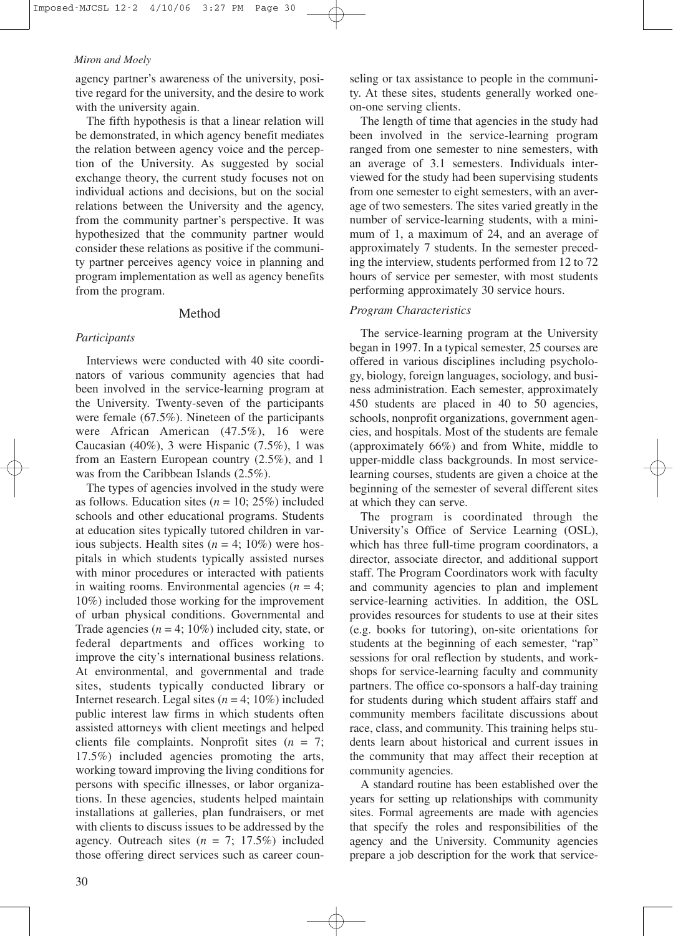agency partner's awareness of the university, positive regard for the university, and the desire to work with the university again.

The fifth hypothesis is that a linear relation will be demonstrated, in which agency benefit mediates the relation between agency voice and the perception of the University. As suggested by social exchange theory, the current study focuses not on individual actions and decisions, but on the social relations between the University and the agency, from the community partner's perspective. It was hypothesized that the community partner would consider these relations as positive if the community partner perceives agency voice in planning and program implementation as well as agency benefits from the program.

#### Method

#### *Participants*

Interviews were conducted with 40 site coordinators of various community agencies that had been involved in the service-learning program at the University. Twenty-seven of the participants were female (67.5%). Nineteen of the participants were African American (47.5%), 16 were Caucasian (40%), 3 were Hispanic (7.5%), 1 was from an Eastern European country (2.5%), and 1 was from the Caribbean Islands (2.5%).

The types of agencies involved in the study were as follows. Education sites  $(n = 10; 25\%)$  included schools and other educational programs. Students at education sites typically tutored children in various subjects. Health sites  $(n = 4; 10\%)$  were hospitals in which students typically assisted nurses with minor procedures or interacted with patients in waiting rooms. Environmental agencies  $(n = 4)$ ; 10%) included those working for the improvement of urban physical conditions. Governmental and Trade agencies  $(n = 4; 10\%)$  included city, state, or federal departments and offices working to improve the city's international business relations. At environmental, and governmental and trade sites, students typically conducted library or Internet research. Legal sites  $(n = 4; 10\%)$  included public interest law firms in which students often assisted attorneys with client meetings and helped clients file complaints. Nonprofit sites (*n* = 7; 17.5%) included agencies promoting the arts, working toward improving the living conditions for persons with specific illnesses, or labor organizations. In these agencies, students helped maintain installations at galleries, plan fundraisers, or met with clients to discuss issues to be addressed by the agency. Outreach sites  $(n = 7; 17.5%)$  included those offering direct services such as career counseling or tax assistance to people in the community. At these sites, students generally worked oneon-one serving clients.

The length of time that agencies in the study had been involved in the service-learning program ranged from one semester to nine semesters, with an average of 3.1 semesters. Individuals interviewed for the study had been supervising students from one semester to eight semesters, with an average of two semesters. The sites varied greatly in the number of service-learning students, with a minimum of 1, a maximum of 24, and an average of approximately 7 students. In the semester preceding the interview, students performed from 12 to 72 hours of service per semester, with most students performing approximately 30 service hours.

#### *Program Characteristics*

The service-learning program at the University began in 1997. In a typical semester, 25 courses are offered in various disciplines including psychology, biology, foreign languages, sociology, and business administration. Each semester, approximately 450 students are placed in 40 to 50 agencies, schools, nonprofit organizations, government agencies, and hospitals. Most of the students are female (approximately 66%) and from White, middle to upper-middle class backgrounds. In most servicelearning courses, students are given a choice at the beginning of the semester of several different sites at which they can serve.

The program is coordinated through the University's Office of Service Learning (OSL), which has three full-time program coordinators, a director, associate director, and additional support staff. The Program Coordinators work with faculty and community agencies to plan and implement service-learning activities. In addition, the OSL provides resources for students to use at their sites (e.g. books for tutoring), on-site orientations for students at the beginning of each semester, "rap" sessions for oral reflection by students, and workshops for service-learning faculty and community partners. The office co-sponsors a half-day training for students during which student affairs staff and community members facilitate discussions about race, class, and community. This training helps students learn about historical and current issues in the community that may affect their reception at community agencies.

A standard routine has been established over the years for setting up relationships with community sites. Formal agreements are made with agencies that specify the roles and responsibilities of the agency and the University. Community agencies prepare a job description for the work that service-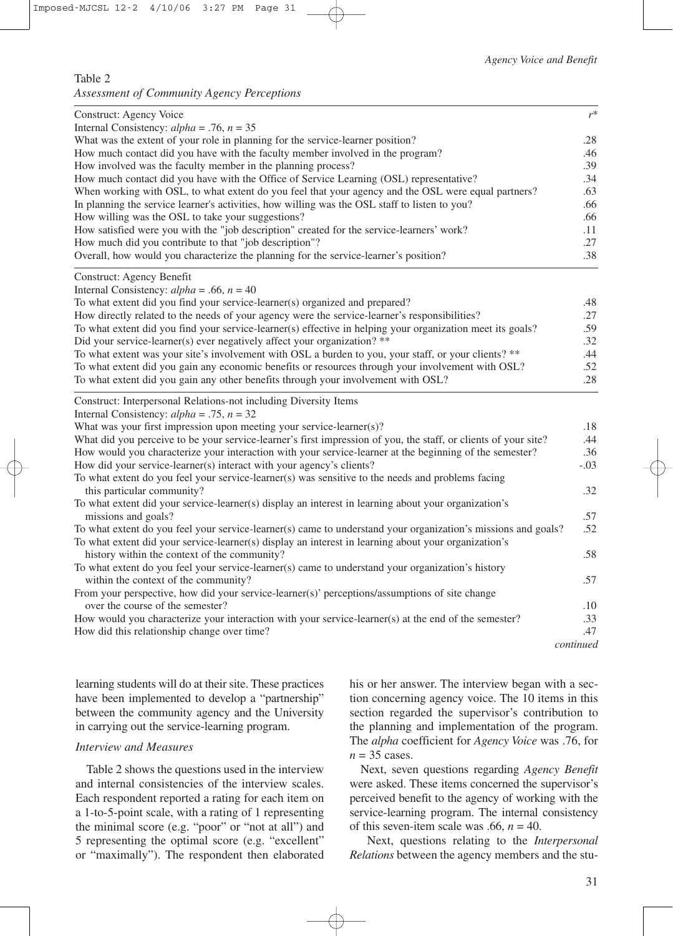### Table 2

*Assessment of Community Agency Perceptions*

| Construct: Agency Voice                                                                                                       | $r^*$     |
|-------------------------------------------------------------------------------------------------------------------------------|-----------|
| Internal Consistency: $alpha = .76$ , $n = 35$                                                                                |           |
| What was the extent of your role in planning for the service-learner position?                                                | .28       |
| How much contact did you have with the faculty member involved in the program?                                                | .46       |
| How involved was the faculty member in the planning process?                                                                  | .39       |
| How much contact did you have with the Office of Service Learning (OSL) representative?                                       | .34       |
| When working with OSL, to what extent do you feel that your agency and the OSL were equal partners?                           | .63       |
| In planning the service learner's activities, how willing was the OSL staff to listen to you?                                 | .66       |
| How willing was the OSL to take your suggestions?                                                                             | .66       |
| How satisfied were you with the "job description" created for the service-learners' work?                                     | .11       |
| How much did you contribute to that "job description"?                                                                        | .27       |
| Overall, how would you characterize the planning for the service-learner's position?                                          | .38       |
| Construct: Agency Benefit                                                                                                     |           |
| Internal Consistency: $alpha = .66$ , $n = 40$<br>To what extent did you find your service-learner(s) organized and prepared? | .48       |
| How directly related to the needs of your agency were the service-learner's responsibilities?                                 | .27       |
| To what extent did you find your service-learner(s) effective in helping your organization meet its goals?                    | .59       |
| Did your service-learner(s) ever negatively affect your organization? **                                                      | .32       |
| To what extent was your site's involvement with OSL a burden to you, your staff, or your clients? **                          | .44       |
| To what extent did you gain any economic benefits or resources through your involvement with OSL?                             | .52       |
| To what extent did you gain any other benefits through your involvement with OSL?                                             | .28       |
| Construct: Interpersonal Relations-not including Diversity Items                                                              |           |
| Internal Consistency: $alpha = .75$ , $n = 32$                                                                                |           |
| What was your first impression upon meeting your service-learner(s)?                                                          | .18       |
| What did you perceive to be your service-learner's first impression of you, the staff, or clients of your site?               | .44       |
| How would you characterize your interaction with your service-learner at the beginning of the semester?                       | .36       |
| How did your service-learner(s) interact with your agency's clients?                                                          | $-.03$    |
| To what extent do you feel your service-learner(s) was sensitive to the needs and problems facing                             |           |
| this particular community?                                                                                                    | .32       |
| To what extent did your service-learner(s) display an interest in learning about your organization's                          |           |
| missions and goals?                                                                                                           | .57       |
| To what extent do you feel your service-learner(s) came to understand your organization's missions and goals?                 | .52       |
| To what extent did your service-learner(s) display an interest in learning about your organization's                          |           |
| history within the context of the community?                                                                                  | .58       |
| To what extent do you feel your service-learner(s) came to understand your organization's history                             |           |
| within the context of the community?                                                                                          | .57       |
| From your perspective, how did your service-learner(s)' perceptions/assumptions of site change                                |           |
| over the course of the semester?                                                                                              | .10       |
| How would you characterize your interaction with your service-learner(s) at the end of the semester?                          | .33       |
| How did this relationship change over time?                                                                                   | .47       |
|                                                                                                                               | continued |

learning students will do at their site. These practices have been implemented to develop a "partnership" between the community agency and the University in carrying out the service-learning program.

# *Interview and Measures*

Table 2 shows the questions used in the interview and internal consistencies of the interview scales. Each respondent reported a rating for each item on a 1-to-5-point scale, with a rating of 1 representing the minimal score (e.g. "poor" or "not at all") and 5 representing the optimal score (e.g. "excellent" or "maximally"). The respondent then elaborated his or her answer. The interview began with a section concerning agency voice. The 10 items in this section regarded the supervisor's contribution to the planning and implementation of the program. The *alpha* coefficient for *Agency Voice* was .76, for  $n = 35$  cases.

Next, seven questions regarding *Agency Benefit* were asked. These items concerned the supervisor's perceived benefit to the agency of working with the service-learning program. The internal consistency of this seven-item scale was .66,  $n = 40$ .

Next, questions relating to the *Interpersonal Relations* between the agency members and the stu-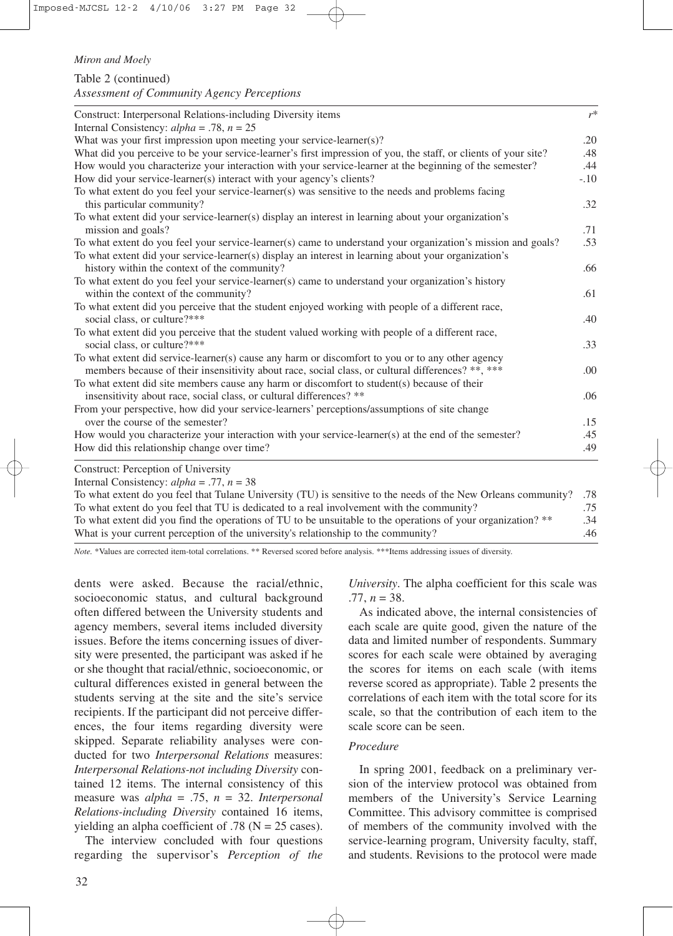Table 2 (continued) *Assessment of Community Agency Perceptions*

| Construct: Interpersonal Relations-including Diversity items                                                    | $r^*$  |
|-----------------------------------------------------------------------------------------------------------------|--------|
| Internal Consistency: $alpha = .78$ , $n = 25$                                                                  |        |
| What was your first impression upon meeting your service-learner(s)?                                            | .20    |
| What did you perceive to be your service-learner's first impression of you, the staff, or clients of your site? | .48    |
| How would you characterize your interaction with your service-learner at the beginning of the semester?         | .44    |
| How did your service-learner(s) interact with your agency's clients?                                            | $-.10$ |
| To what extent do you feel your service-learner(s) was sensitive to the needs and problems facing               |        |
| this particular community?                                                                                      | .32    |
| To what extent did your service-learner(s) display an interest in learning about your organization's            |        |
| mission and goals?                                                                                              | .71    |
| To what extent do you feel your service-learner(s) came to understand your organization's mission and goals?    | .53    |
| To what extent did your service-learner(s) display an interest in learning about your organization's            |        |
| history within the context of the community?                                                                    | .66    |
| To what extent do you feel your service-learner(s) came to understand your organization's history               |        |
| within the context of the community?                                                                            | .61    |
| To what extent did you perceive that the student enjoyed working with people of a different race,               |        |
| social class, or culture?***                                                                                    | .40    |
| To what extent did you perceive that the student valued working with people of a different race,                |        |
| social class, or culture?***                                                                                    | .33    |
| To what extent did service-learner(s) cause any harm or discomfort to you or to any other agency                |        |
| members because of their insensitivity about race, social class, or cultural differences? **, ***               | .00    |
| To what extent did site members cause any harm or discomfort to student(s) because of their                     |        |
| insensitivity about race, social class, or cultural differences? **                                             | .06    |
| From your perspective, how did your service-learners' perceptions/assumptions of site change                    |        |
| over the course of the semester?                                                                                | .15    |
| How would you characterize your interaction with your service-learner(s) at the end of the semester?            | .45    |
| How did this relationship change over time?                                                                     | .49    |
| Construct: Perception of University                                                                             |        |

Internal Consistency: *alpha* = .77, *n* = 38

| To what extent do you feel that Tulane University (TU) is sensitive to the needs of the New Orleans community? .78 |     |
|--------------------------------------------------------------------------------------------------------------------|-----|
| To what extent do you feel that TU is dedicated to a real involvement with the community?                          | .75 |
| To what extent did you find the operations of TU to be unsuitable to the operations of your organization? **       | .34 |
| What is your current perception of the university's relationship to the community?                                 | .46 |

*Note.* \*Values are corrected item-total correlations. \*\* Reversed scored before analysis. \*\*\*Items addressing issues of diversity.

dents were asked. Because the racial/ethnic, socioeconomic status, and cultural background often differed between the University students and agency members, several items included diversity issues. Before the items concerning issues of diversity were presented, the participant was asked if he or she thought that racial/ethnic, socioeconomic, or cultural differences existed in general between the students serving at the site and the site's service recipients. If the participant did not perceive differences, the four items regarding diversity were skipped. Separate reliability analyses were conducted for two *Interpersonal Relations* measures: *Interpersonal Relations-not including Diversity* contained 12 items. The internal consistency of this measure was *alpha* = .75, *n* = 32. *Interpersonal Relations-including Diversity* contained 16 items, yielding an alpha coefficient of .78 ( $N = 25$  cases).

The interview concluded with four questions regarding the supervisor's *Perception of the* *University*. The alpha coefficient for this scale was .77, *n* = 38.

As indicated above, the internal consistencies of each scale are quite good, given the nature of the data and limited number of respondents. Summary scores for each scale were obtained by averaging the scores for items on each scale (with items reverse scored as appropriate). Table 2 presents the correlations of each item with the total score for its scale, so that the contribution of each item to the scale score can be seen.

# *Procedure*

In spring 2001, feedback on a preliminary version of the interview protocol was obtained from members of the University's Service Learning Committee. This advisory committee is comprised of members of the community involved with the service-learning program, University faculty, staff, and students. Revisions to the protocol were made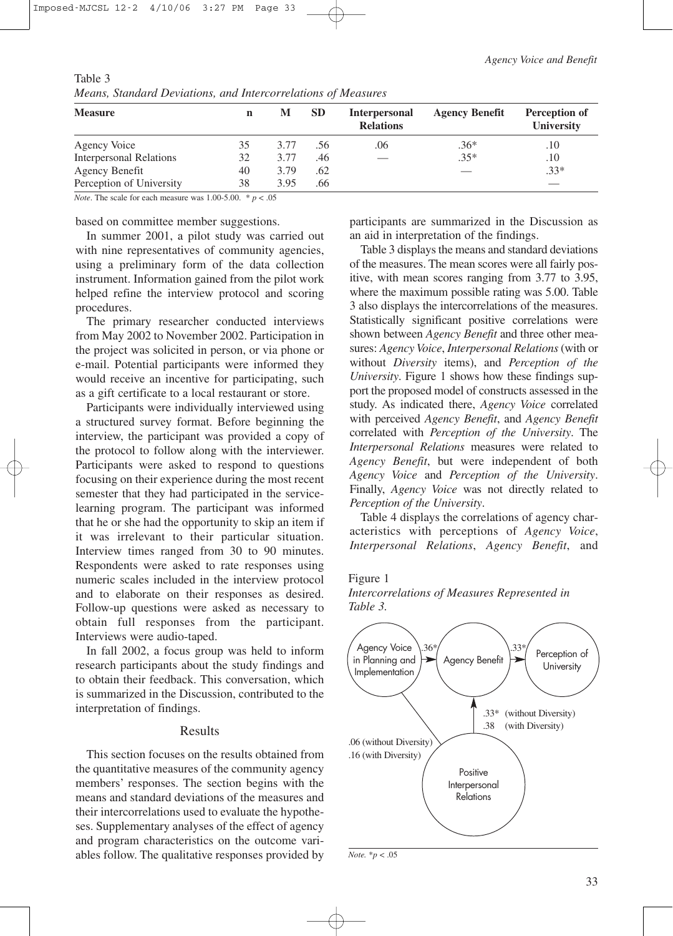| <b>Measure</b>                 | n  | M    | <b>SD</b> | <b>Interpersonal</b><br><b>Relations</b> | <b>Agency Benefit</b> | Perception of<br>University |
|--------------------------------|----|------|-----------|------------------------------------------|-----------------------|-----------------------------|
| Agency Voice                   | 35 | 3.77 | .56       | .06                                      | $.36*$                | .10                         |
| <b>Interpersonal Relations</b> | 32 | 3.77 | .46       |                                          | $.35*$                | .10                         |
| Agency Benefit                 | 40 | 3.79 | .62       |                                          |                       | $.33*$                      |
| Perception of University       | 38 | 3.95 | .66       |                                          |                       |                             |

Table 3 *Means, Standard Deviations, and Intercorrelations of Measures* 

*Note*. The scale for each measure was 1.00-5.00.  $* p < .05$ 

#### based on committee member suggestions.

In summer 2001, a pilot study was carried out with nine representatives of community agencies, using a preliminary form of the data collection instrument. Information gained from the pilot work helped refine the interview protocol and scoring procedures.

The primary researcher conducted interviews from May 2002 to November 2002. Participation in the project was solicited in person, or via phone or e-mail. Potential participants were informed they would receive an incentive for participating, such as a gift certificate to a local restaurant or store.

Participants were individually interviewed using a structured survey format. Before beginning the interview, the participant was provided a copy of the protocol to follow along with the interviewer. Participants were asked to respond to questions focusing on their experience during the most recent semester that they had participated in the servicelearning program. The participant was informed that he or she had the opportunity to skip an item if it was irrelevant to their particular situation. Interview times ranged from 30 to 90 minutes. Respondents were asked to rate responses using numeric scales included in the interview protocol and to elaborate on their responses as desired. Follow-up questions were asked as necessary to obtain full responses from the participant. Interviews were audio-taped.

In fall 2002, a focus group was held to inform research participants about the study findings and to obtain their feedback. This conversation, which is summarized in the Discussion, contributed to the interpretation of findings.

# Results

This section focuses on the results obtained from the quantitative measures of the community agency members' responses. The section begins with the means and standard deviations of the measures and their intercorrelations used to evaluate the hypotheses. Supplementary analyses of the effect of agency and program characteristics on the outcome variables follow. The qualitative responses provided by participants are summarized in the Discussion as an aid in interpretation of the findings.

Table 3 displays the means and standard deviations of the measures. The mean scores were all fairly positive, with mean scores ranging from 3.77 to 3.95, where the maximum possible rating was 5.00. Table 3 also displays the intercorrelations of the measures. Statistically significant positive correlations were shown between *Agency Benefit* and three other measures: *Agency Voice*, *Interpersonal Relations*(with or without *Diversity* items), and *Perception of the University*. Figure 1 shows how these findings support the proposed model of constructs assessed in the study. As indicated there, *Agency Voice* correlated with perceived *Agency Benefit*, and *Agency Benefit* correlated with *Perception of the University*. The *Interpersonal Relations* measures were related to *Agency Benefit*, but were independent of both *Agency Voice* and *Perception of the University*. Finally, *Agency Voice* was not directly related to *Perception of the University*.

Table 4 displays the correlations of agency characteristics with perceptions of *Agency Voice*, *Interpersonal Relations*, *Agency Benefit*, and

#### Figure 1



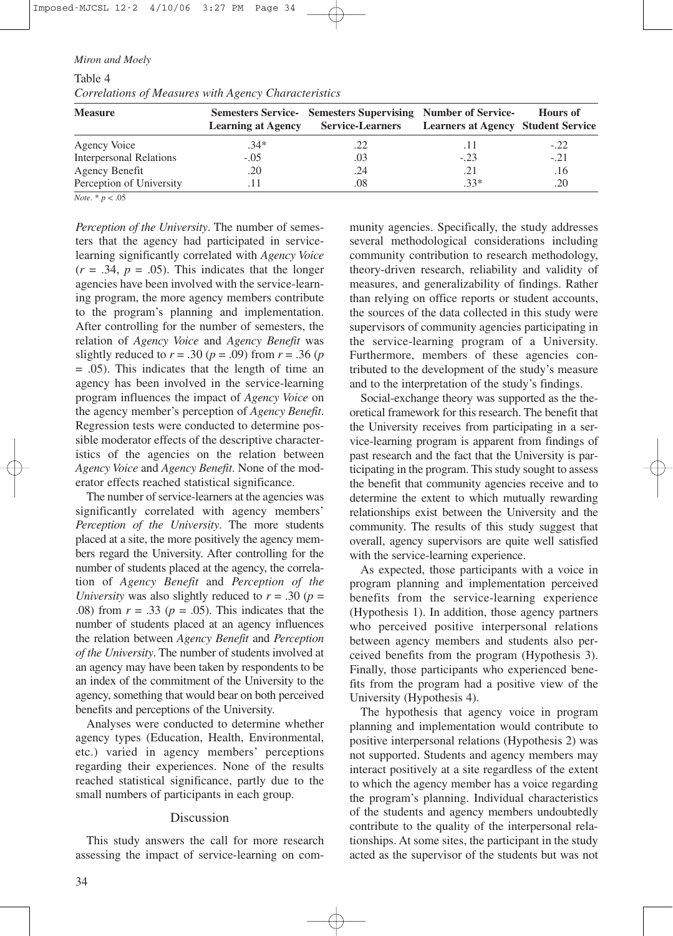Table 4 *Correlations of Measures with Agency Characteristics*

| <b>Measure</b>                 |        | Semesters Service- Semesters Supervising Number of Service-<br><b>Learning at Agency Service-Learners Learners at Agency Student Service</b> |        | <b>Hours of</b> |
|--------------------------------|--------|----------------------------------------------------------------------------------------------------------------------------------------------|--------|-----------------|
| Agency Voice                   | $.34*$ | .22                                                                                                                                          |        | $-.22$          |
| <b>Interpersonal Relations</b> | $-.05$ | .03                                                                                                                                          | $-.23$ | $-.21$          |
| Agency Benefit                 | .20    | .24                                                                                                                                          | .21    | .16             |
| Perception of University       |        | .08                                                                                                                                          | $.33*$ | .20             |

*Note*. \* *p* < .05

*Perception of the University*. The number of semesters that the agency had participated in servicelearning significantly correlated with *Agency Voice*  $(r = .34, p = .05)$ . This indicates that the longer agencies have been involved with the service-learning program, the more agency members contribute to the program's planning and implementation. After controlling for the number of semesters, the relation of *Agency Voice* and *Agency Benefit* was slightly reduced to  $r = .30$  ( $p = .09$ ) from  $r = .36$  ( $p = 0.09$ ) = .05). This indicates that the length of time an agency has been involved in the service-learning program influences the impact of *Agency Voice* on the agency member's perception of *Agency Benefit*. Regression tests were conducted to determine possible moderator effects of the descriptive characteristics of the agencies on the relation between *Agency Voice* and *Agency Benefit*. None of the moderator effects reached statistical significance.

The number of service-learners at the agencies was significantly correlated with agency members' *Perception of the University*. The more students placed at a site, the more positively the agency members regard the University. After controlling for the number of students placed at the agency, the correlation of *Agency Benefit* and *Perception of the University* was also slightly reduced to  $r = .30$  ( $p =$ .08) from  $r = .33$  ( $p = .05$ ). This indicates that the number of students placed at an agency influences the relation between *Agency Benefit* and *Perception of the University*. The number of students involved at an agency may have been taken by respondents to be an index of the commitment of the University to the agency, something that would bear on both perceived benefits and perceptions of the University.

Analyses were conducted to determine whether agency types (Education, Health, Environmental, etc.) varied in agency members' perceptions regarding their experiences. None of the results reached statistical significance, partly due to the small numbers of participants in each group.

#### Discussion

This study answers the call for more research assessing the impact of service-learning on community agencies. Specifically, the study addresses several methodological considerations including community contribution to research methodology, theory-driven research, reliability and validity of measures, and generalizability of findings. Rather than relying on office reports or student accounts, the sources of the data collected in this study were supervisors of community agencies participating in the service-learning program of a University. Furthermore, members of these agencies contributed to the development of the study's measure and to the interpretation of the study's findings.

Social-exchange theory was supported as the theoretical framework for this research. The benefit that the University receives from participating in a service-learning program is apparent from findings of past research and the fact that the University is participating in the program. This study sought to assess the benefit that community agencies receive and to determine the extent to which mutually rewarding relationships exist between the University and the community. The results of this study suggest that overall, agency supervisors are quite well satisfied with the service-learning experience.

As expected, those participants with a voice in program planning and implementation perceived benefits from the service-learning experience (Hypothesis 1). In addition, those agency partners who perceived positive interpersonal relations between agency members and students also perceived benefits from the program (Hypothesis 3). Finally, those participants who experienced benefits from the program had a positive view of the University (Hypothesis 4).

The hypothesis that agency voice in program planning and implementation would contribute to positive interpersonal relations (Hypothesis 2) was not supported. Students and agency members may interact positively at a site regardless of the extent to which the agency member has a voice regarding the program's planning. Individual characteristics of the students and agency members undoubtedly contribute to the quality of the interpersonal relationships. At some sites, the participant in the study acted as the supervisor of the students but was not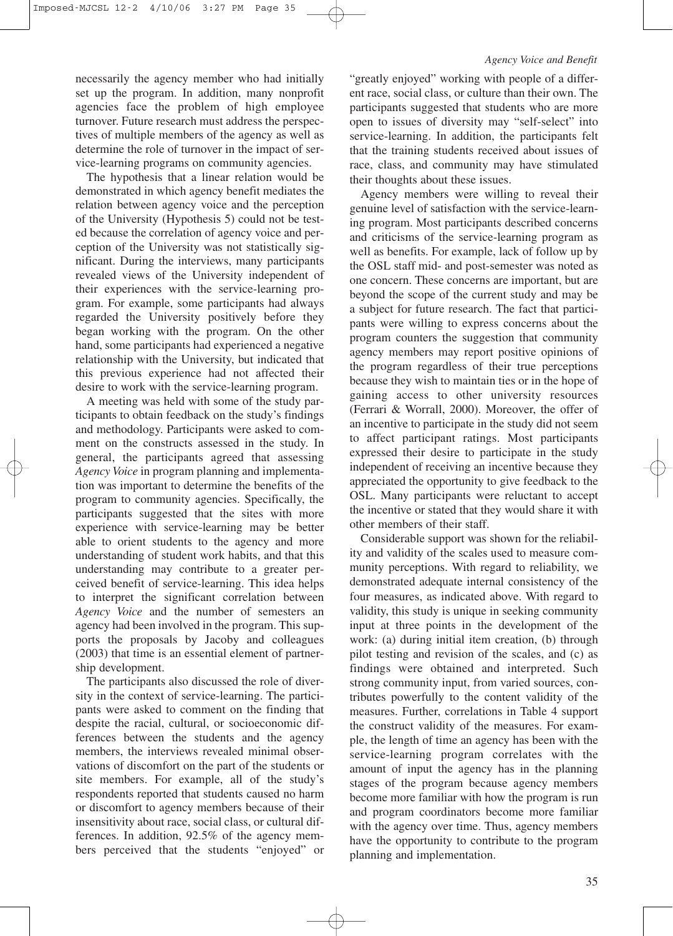#### *Agency Voice and Benefit*

necessarily the agency member who had initially set up the program. In addition, many nonprofit agencies face the problem of high employee turnover. Future research must address the perspectives of multiple members of the agency as well as determine the role of turnover in the impact of service-learning programs on community agencies.

The hypothesis that a linear relation would be demonstrated in which agency benefit mediates the relation between agency voice and the perception of the University (Hypothesis 5) could not be tested because the correlation of agency voice and perception of the University was not statistically significant. During the interviews, many participants revealed views of the University independent of their experiences with the service-learning program. For example, some participants had always regarded the University positively before they began working with the program. On the other hand, some participants had experienced a negative relationship with the University, but indicated that this previous experience had not affected their desire to work with the service-learning program.

A meeting was held with some of the study participants to obtain feedback on the study's findings and methodology. Participants were asked to comment on the constructs assessed in the study. In general, the participants agreed that assessing *Agency Voice* in program planning and implementation was important to determine the benefits of the program to community agencies. Specifically, the participants suggested that the sites with more experience with service-learning may be better able to orient students to the agency and more understanding of student work habits, and that this understanding may contribute to a greater perceived benefit of service-learning. This idea helps to interpret the significant correlation between *Agency Voice* and the number of semesters an agency had been involved in the program. This supports the proposals by Jacoby and colleagues (2003) that time is an essential element of partnership development.

The participants also discussed the role of diversity in the context of service-learning. The participants were asked to comment on the finding that despite the racial, cultural, or socioeconomic differences between the students and the agency members, the interviews revealed minimal observations of discomfort on the part of the students or site members. For example, all of the study's respondents reported that students caused no harm or discomfort to agency members because of their insensitivity about race, social class, or cultural differences. In addition, 92.5% of the agency members perceived that the students "enjoyed" or

"greatly enjoyed" working with people of a different race, social class, or culture than their own. The participants suggested that students who are more open to issues of diversity may "self-select" into service-learning. In addition, the participants felt that the training students received about issues of race, class, and community may have stimulated their thoughts about these issues.

Agency members were willing to reveal their genuine level of satisfaction with the service-learning program. Most participants described concerns and criticisms of the service-learning program as well as benefits. For example, lack of follow up by the OSL staff mid- and post-semester was noted as one concern. These concerns are important, but are beyond the scope of the current study and may be a subject for future research. The fact that participants were willing to express concerns about the program counters the suggestion that community agency members may report positive opinions of the program regardless of their true perceptions because they wish to maintain ties or in the hope of gaining access to other university resources (Ferrari & Worrall, 2000). Moreover, the offer of an incentive to participate in the study did not seem to affect participant ratings. Most participants expressed their desire to participate in the study independent of receiving an incentive because they appreciated the opportunity to give feedback to the OSL. Many participants were reluctant to accept the incentive or stated that they would share it with other members of their staff.

Considerable support was shown for the reliability and validity of the scales used to measure community perceptions. With regard to reliability, we demonstrated adequate internal consistency of the four measures, as indicated above. With regard to validity, this study is unique in seeking community input at three points in the development of the work: (a) during initial item creation, (b) through pilot testing and revision of the scales, and (c) as findings were obtained and interpreted. Such strong community input, from varied sources, contributes powerfully to the content validity of the measures. Further, correlations in Table 4 support the construct validity of the measures. For example, the length of time an agency has been with the service-learning program correlates with the amount of input the agency has in the planning stages of the program because agency members become more familiar with how the program is run and program coordinators become more familiar with the agency over time. Thus, agency members have the opportunity to contribute to the program planning and implementation.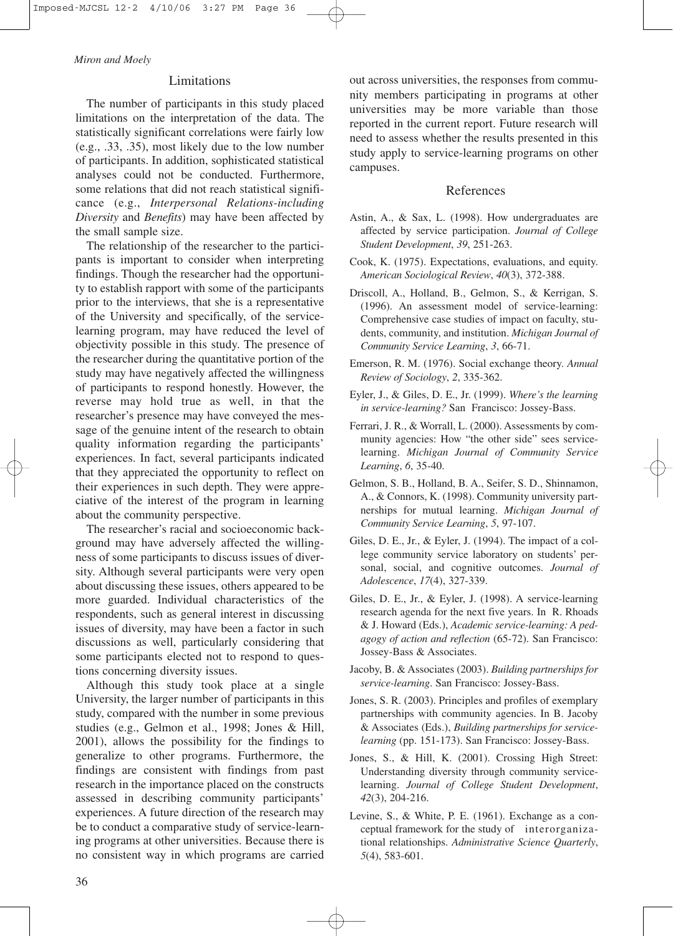#### Limitations

The number of participants in this study placed limitations on the interpretation of the data. The statistically significant correlations were fairly low (e.g., .33, .35), most likely due to the low number of participants. In addition, sophisticated statistical analyses could not be conducted. Furthermore, some relations that did not reach statistical significance (e.g., *Interpersonal Relations-including Diversity* and *Benefits*) may have been affected by the small sample size.

The relationship of the researcher to the participants is important to consider when interpreting findings. Though the researcher had the opportunity to establish rapport with some of the participants prior to the interviews, that she is a representative of the University and specifically, of the servicelearning program, may have reduced the level of objectivity possible in this study. The presence of the researcher during the quantitative portion of the study may have negatively affected the willingness of participants to respond honestly. However, the reverse may hold true as well, in that the researcher's presence may have conveyed the message of the genuine intent of the research to obtain quality information regarding the participants' experiences. In fact, several participants indicated that they appreciated the opportunity to reflect on their experiences in such depth. They were appreciative of the interest of the program in learning about the community perspective.

The researcher's racial and socioeconomic background may have adversely affected the willingness of some participants to discuss issues of diversity. Although several participants were very open about discussing these issues, others appeared to be more guarded. Individual characteristics of the respondents, such as general interest in discussing issues of diversity, may have been a factor in such discussions as well, particularly considering that some participants elected not to respond to questions concerning diversity issues.

Although this study took place at a single University, the larger number of participants in this study, compared with the number in some previous studies (e.g., Gelmon et al., 1998; Jones & Hill, 2001), allows the possibility for the findings to generalize to other programs. Furthermore, the findings are consistent with findings from past research in the importance placed on the constructs assessed in describing community participants' experiences. A future direction of the research may be to conduct a comparative study of service-learning programs at other universities. Because there is no consistent way in which programs are carried out across universities, the responses from community members participating in programs at other universities may be more variable than those reported in the current report. Future research will need to assess whether the results presented in this study apply to service-learning programs on other campuses.

# References

- Astin, A., & Sax, L. (1998). How undergraduates are affected by service participation. *Journal of College Student Development*, *39*, 251-263.
- Cook, K. (1975). Expectations, evaluations, and equity. *American Sociological Review*, *40*(3), 372-388.
- Driscoll, A., Holland, B., Gelmon, S., & Kerrigan, S. (1996). An assessment model of service-learning: Comprehensive case studies of impact on faculty, students, community, and institution. *Michigan Journal of Community Service Learning*, *3*, 66-71.
- Emerson, R. M. (1976). Social exchange theory. *Annual Review of Sociology*, *2*, 335-362.
- Eyler, J., & Giles, D. E., Jr. (1999). *Where's the learning in service-learning?* San Francisco: Jossey-Bass.
- Ferrari, J. R., & Worrall, L. (2000). Assessments by community agencies: How "the other side" sees servicelearning. *Michigan Journal of Community Service Learning*, *6*, 35-40.
- Gelmon, S. B., Holland, B. A., Seifer, S. D., Shinnamon, A., & Connors, K. (1998). Community university partnerships for mutual learning. *Michigan Journal of Community Service Learning*, *5*, 97-107.
- Giles, D. E., Jr., & Eyler, J. (1994). The impact of a college community service laboratory on students' personal, social, and cognitive outcomes. *Journal of Adolescence*, *17*(4), 327-339.
- Giles, D. E., Jr., & Eyler, J. (1998). A service-learning research agenda for the next five years. In R. Rhoads & J. Howard (Eds.), *Academic service-learning: A pedagogy of action and reflection* (65-72). San Francisco: Jossey-Bass & Associates.
- Jacoby, B. & Associates (2003). *Building partnerships for service-learning*. San Francisco: Jossey-Bass.
- Jones, S. R. (2003). Principles and profiles of exemplary partnerships with community agencies. In B. Jacoby & Associates (Eds.), *Building partnerships for servicelearning* (pp. 151-173). San Francisco: Jossey-Bass.
- Jones, S., & Hill, K. (2001). Crossing High Street: Understanding diversity through community servicelearning. *Journal of College Student Development*, *42*(3), 204-216.
- Levine, S., & White, P. E. (1961). Exchange as a conceptual framework for the study of interorganizational relationships. *Administrative Science Quarterly*, *5*(4), 583-601.